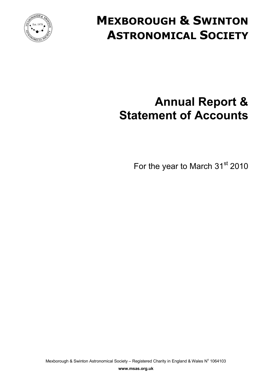

# **MEXBOROUGH & SWINTON ASTRONOMICAL SOCIETY**

# **Annual Report & Statement of Accounts**

For the year to March 31<sup>st</sup> 2010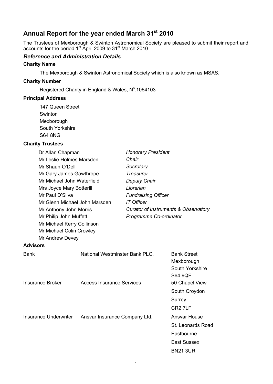# **Annual Report for the year ended March 31st 2010**

The Trustees of Mexborough & Swinton Astronomical Society are pleased to submit their report and accounts for the period 1<sup>st</sup> April 2009 to 31<sup>st</sup> March 2010.

### *Reference and Administration Details*

#### **Charity Name**

The Mexborough & Swinton Astronomical Society which is also known as MSAS.

#### **Charity Number**

Registered Charity in England & Wales, Nº.1064103

#### **Principal Address**

147 Queen Street Swinton Mexborough South Yorkshire S64 8NG

#### **Charity Trustees**

| Dr Allan Chapman              |                                  |                            | <b>Honorary President</b>                                             |  |  |
|-------------------------------|----------------------------------|----------------------------|-----------------------------------------------------------------------|--|--|
| Mr Leslie Holmes Marsden      |                                  | Chair                      |                                                                       |  |  |
| Mr Shaun O'Dell               |                                  | Secretary                  |                                                                       |  |  |
| Mr Gary James Gawthrope       |                                  | <b>Treasurer</b>           |                                                                       |  |  |
| Mr Michael John Waterfield    |                                  | Deputy Chair               |                                                                       |  |  |
| Mrs Joyce Mary Botterill      |                                  | Librarian                  |                                                                       |  |  |
| Mr Paul D'Silva               |                                  | <b>Fundraising Officer</b> |                                                                       |  |  |
| Mr Glenn Michael John Marsden |                                  | <b>IT Officer</b>          |                                                                       |  |  |
| Mr Anthony John Morris        |                                  |                            | Curator of Instruments & Observatory                                  |  |  |
| Mr Philip John Muffett        |                                  | Programme Co-ordinator     |                                                                       |  |  |
| Mr Michael Kerry Collinson    |                                  |                            |                                                                       |  |  |
| Mr Michael Colin Crowley      |                                  |                            |                                                                       |  |  |
| Mr Andrew Devey               |                                  |                            |                                                                       |  |  |
| <b>Advisors</b>               |                                  |                            |                                                                       |  |  |
| <b>Bank</b>                   | National Westminster Bank PLC.   |                            | <b>Bank Street</b><br>Mexborough<br>South Yorkshire<br><b>S64 9QE</b> |  |  |
| <b>Insurance Broker</b>       | <b>Access Insurance Services</b> |                            | 50 Chapel View<br>South Croydon                                       |  |  |
|                               |                                  |                            | Surrey                                                                |  |  |
|                               |                                  |                            | CR <sub>2</sub> 7LF                                                   |  |  |
| <b>Insurance Underwriter</b>  | Ansvar Insurance Company Ltd.    |                            | <b>Ansvar House</b>                                                   |  |  |
|                               |                                  |                            | <b>St. Leonards Road</b>                                              |  |  |
|                               |                                  |                            | Eastbourne                                                            |  |  |
|                               |                                  |                            | <b>East Sussex</b>                                                    |  |  |
|                               |                                  |                            | <b>BN21 3UR</b>                                                       |  |  |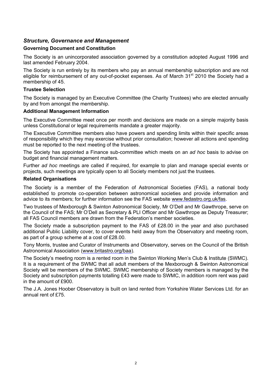## *Structure, Governance and Management*

#### **Governing Document and Constitution**

The Society is an unincorporated association governed by a constitution adopted August 1996 and last amended February 2004.

The Society is run entirely by its members who pay an annual membership subscription and are not eligible for reimbursement of any out-of-pocket expenses. As of March 31<sup>st</sup> 2010 the Society had a membership of 45.

#### **Trustee Selection**

The Society is managed by an Executive Committee (the Charity Trustees) who are elected annually by and from amongst the membership.

#### **Additional Management Information**

The Executive Committee meet once per month and decisions are made on a simple majority basis unless Constitutional or legal requirements mandate a greater majority.

The Executive Committee members also have powers and spending limits within their specific areas of responsibility which they may exercise without prior consultation; however all actions and spending must be reported to the next meeting of the trustees.

The Society has appointed a Finance sub-committee which meets on an *ad hoc* basis to advise on budget and financial management matters.

Further *ad hoc* meetings are called if required, for example to plan and manage special events or projects, such meetings are typically open to all Society members not just the trustees.

#### **Related Organisations**

The Society is a member of the Federation of Astronomical Societies (FAS), a national body established to promote co-operation between astronomical societies and provide information and advice to its members; for further information see the FAS website <www.fedastro.org.uk/fas.>

Two trustees of Mexborough & Swinton Astronomical Society, Mr O'Dell and Mr Gawthrope, serve on the Council of the FAS; Mr O'Dell as Secretary & PLI Officer and Mr Gawthrope as Deputy Treasurer; all FAS Council members are drawn from the Federation's member societies.

The Society made a subscription payment to the FAS of £28.00 in the year and also purchased additional Public Liability cover, to cover events held away from the Observatory and meeting room, as part of a group scheme at a cost of £28.00.

Tony Morris, trustee and Curator of Instruments and Observatory, serves on the Council of the British Astronomical Association [\(www.britastro.org/baa](www.britastro.org/baa)).

The Society's meeting room is a rented room in the Swinton Working Men's Club & Institute (SWMC). It is a requirement of the SWMC that all adult members of the Mexborough & Swinton Astronomical Society will be members of the SWMC. SWMC membership of Society members is managed by the Society and subscription payments totalling £43 were made to SWMC, in addition room rent was paid in the amount of £900.

The J.A. Jones Hoober Observatory is built on land rented from Yorkshire Water Services Ltd. for an annual rent of  $f75$ .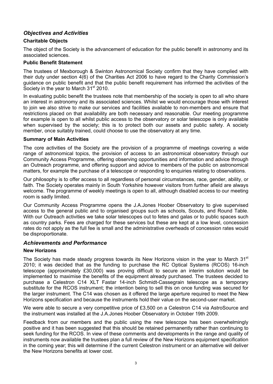## *Objectives and Activities*

#### **Charitable Objects**

The object of the Society is the advancement of education for the public benefit in astronomy and its associated sciences.

#### **Public Benefit Statement**

The trustees of Mexborough & Swinton Astronomical Society confirm that they have complied with their duty under section 4(6) of the Charities Act 2006 to have regard to the Charity Commission's guidance on public benefit and that the public benefit requirement has informed the activities of the Society in the year to March 31<sup>st</sup> 2010.

In evaluating public benefit the trustees note that membership of the society is open to all who share an interest in astronomy and its associated sciences. Whilst we would encourage those with interest to join we also strive to make our services and facilities available to non-members and ensure that restrictions placed on that availability are both necessary and reasonable. Our meeting programme for example is open to all whilst public access to the observatory or solar telescope is only available when supervised by the society; this is to protect both our assets and public safety. A society member, once suitably trained, could choose to use the observatory at any time.

#### **Summary of Main Activities**

The core activities of the Society are the provision of a programme of meetings covering a wide range of astronomical topics, the provision of access to an astronomical observatory through our Community Access Programme, offering observing opportunities and information and advice through an Outreach programme, and offering support and advice to members of the public on astronomical matters, for example the purchase of a telescope or responding to enquiries relating to observations.

Our philosophy is to offer access to all regardless of personal circumstances, race, gender, ability, or faith. The Society operates mainly in South Yorkshire however visitors from further afield are always welcome. The programme of weekly meetings is open to all, although disabled access to our meeting room is sadly limited.

Our Community Access Programme opens the J.A.Jones Hoober Observatory to give supervised access to the general public and to organised groups such as schools, Scouts, and Round Table. With our Outreach activities we take solar telescopes out to fetes and galas or to public spaces such as country parks. Fees are charged for these services but these are kept at a low level, concession rates do not apply as the full fee is small and the administrative overheads of concession rates would be disproportionate.

#### *Achievements and Performance*

#### **New Horizons**

The Society has made steady progress towards its New Horizons vision in the year to March  $31<sup>st</sup>$ 2010; it was decided that as the funding to purchase the RC Optical Systems (RCOS) 16-inch telescope (approximately £30,000) was proving difficult to secure an interim solution would be implemented to maximise the benefits of the equipment already purchased. The trustees decided to purchase a Celestron C14 XLT Fastar 14-inch Schmidt-Cassegrain telescope as a temporary substitute for the RCOS instrument; the intention being to sell this on once funding was secured for the larger instrument. The C14 was chosen as it offered the large aperture required to meet the New Horizons specification and because the instruments hold their value on the second-user market.

We were able to secure a very competitive price of £3,500 on a Celestron C14 via AstroSource and the instrument was installed at the J.A.Jones Hoober Observatory in October 19th 2009.

Feedback from our members and the public using the new telescope has been overwhelmingly positive and it has been suggested that this should be retained permanently rather than continuing to seek funding for the RCOS. In view of these comments and developments in the range and quality of instruments now available the trustees plan a full review of the New Horizons equipment specification in the coming year; this will determine if the current Celestron instrument or an alternative will deliver the New Horizons benefits at lower cost.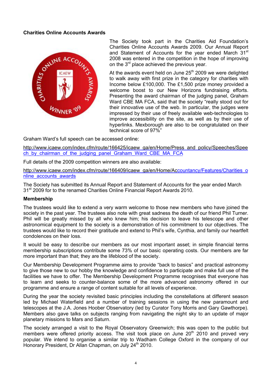#### **Charities Online Accounts Awards**



The Society took part in the Charities Aid Foundation's Charities Online Accounts Awards 2009. Our Annual Report and Statement of Accounts for the year ended March 31<sup>st</sup> 2008 was entered in the competition in the hope of improving on the 3<sup>rd</sup> place achieved the previous year.

At the awards event held on June  $25<sup>th</sup>$  2009 we were delighted to walk away with first prize in the category for charities with Income below Ç100,000. The Ç1,500 prize money provided a welcome boost to our New Horizons fundraising efforts. Presenting the award chairman of the judging panel, Graham Ward CBE MA FCA, said that the society "really stood out for their innovative use of the web. In particular, the judges were impressed by their use of freely available web-technologies to improve accessibility on the site, as well as by their use of hyperlinks. Mexborough are also to be congratulated on their technical score of 97%"

Graham Ward's full speech can be accessed online:

[http://www.icaew.com/index.cfm/route/166425/icaew\\_ga/en/Home/Press\\_and\\_policy/Speeches/Spee](http://www.icaew.com/index.cfm/route/166425/icaew_ga/en/Home/Press_and_policy/Speeches/Spee) ch by chairman of the judging panel Graham Ward CBE MA\_FCA

Full details of the 2009 competition winners are also available:

[http://www.icaew.com/index.cfm/route/166409/icaew\\_ga/en/Home/Acc](http://www.icaew.com/index.cfm/route/166409/icaew_ga/en/Home/Ac)ountancy/Features/Charities\_o nline\_accounts\_awards

The Society has submitted its Annual Report and Statement of Accounts for the year ended March 31<sup>st</sup> 2009 for to the renamed Charities Online Financial Report Awards 2010.

#### **Membership**

The trustees would like to extend a very warm welcome to those new members who have joined the society in the past year. The trustees also note with great sadness the death of our friend Phil Turner. Phil will be greatly missed by all who knew him; his decision to leave his telescope and other astronomical equipment to the society is a demonstration of his commitment to our objectives. The trustees would like to record their gratitude and extend to Phil's wife, Cynthia, and family our heartfelt condolences on their loss.

It would be easy to describe our members as our most important asset; in simple financial terms membership subscriptions contribute some 73% of our basic operating costs. Our members are far more important than that; they are the lifeblood of the society.

Our Membership Development Programme aims to provide "back to basics" and practical astronomy to give those new to our hobby the knowledge and confidence to participate and make full use of the facilities we have to offer. The Membership Development Programme recognises that everyone has to learn and seeks to counter-balance some of the more advanced astronomy offered in our programme and ensure a range of content suitable for all levels of experience.

During the year the society revisited basic principles including the constellations at different season led by Michael Waterfield and a number of training sessions in using the new paramount and telescopes at the J.A. Jones Hoober Observatory (led by Curator Tony Morris and Gary Gawthorpe). Members also gave talks on subjects ranging from navigating the night sky to an update of major planetary missions to Mars and Saturn.

The society arranged a visit to the Royal Observatory Greenwich; this was open to the public but members were offered priority access. The visit took place on June  $20<sup>th</sup>$  2010 and proved very popular. We intend to organise a similar trip to Wadham College Oxford in the company of our Honorary President, Dr Allan Chapman, on July 24<sup>th</sup> 2010.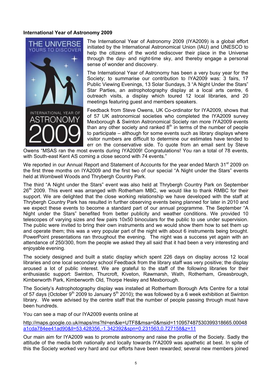#### **International Year of Astronomy 2009**



The International Year of Astronomy 2009 (IYA2009) is a global effort initiated by the International Astronomical Union (IAU) and UNESCO to help the citizens of the world rediscover their place in the Universe through the day- and night-time sky, and thereby engage a personal sense of wonder and discovery.

The International Year of Astronomy has been a very busy year for the Society; to summarise our contribution to IYA2009 was: 3 fairs, 17 Public Viewing Evenings, 13 Solar Sundays, 3 "A Night Under the Stars" Star Parties, an astrophotography display at a local arts centre, 6 outreach visits, a display which toured 12 local libraries, and 20 meetings featuring guest and members speakers.

Feedback from Steve Owens, UK Co-ordinator for IYA2009, shows that of 57 UK astronomical societies who completed the IYA2009 survey Mexborough & Swinton Astronomical Society ran more IYA2009 events than any other society and ranked  $8<sup>th</sup>$  in terms of the number of people to participate – although for some events such as library displays where visitor numbers are difficult to determine our estimates have tended to err on the conservative side. To quote from an email sent by Steve

Owens "MSAS ran the most events during IYA2009! Congratulations! You ran a total of 78 events, with South-east Kent AS coming a close second with 74 events."

We reported in our Annual Report and Statement of Accounts for the year ended March 31<sup>st</sup> 2009 on the first three months on IYA2009 and the first two of our special "A Night under the Stars" events held at Wombwell Woods and Thrybergh Country Park.

The third "A Night under the Stars" event was also held at Thrybergh Country Park on September 26<sup>th</sup> 2009. This event was arranged with Rotherham MBC, we would like to thank RMBC for their support. We are delighted that the close working relationship we have developed with the staff at Thrybergh Country Park has resulted in further observing events being planned for later in 2010 and we expect these events to become a standard part of our annual programme. The September "A Night under the Stars" benefited from better publicity and weather conditions. We provided 10 telescopes of varying sizes and few pairs 10x50 binoculars for the public to use under supervision. The public were invited to bring their own instruments and we would show them how to set them up and operate them; this was a very popular part of the night with about 6 instruments being brought. PowerPoint presentations ran throughout the evening. The night was a success yet again with an attendance of 250/300, from the people we asked they all said that it had been a very interesting and enjoyable evening.

The society designed and built a static display which spent 226 days on display across 12 local libraries and one local secondary school Feedback from the library staff was very positive; the display aroused a lot of public interest. We are grateful to the staff of the following libraries for their enthusiastic support: Swinton, Thurcroft, Kiveton, Rawmarsh, Wath, Rotherham, Greasbrough, Kimberworth Park, Kimberworth Old, Thorpe Hesley and Mexborough.

The Society's Astrophotography display was installed at Rotherham Borough Arts Centre for a total of 57 days (October 9<sup>th</sup> 2009 to January 5<sup>th</sup> 2010); the was followed by a 6 week exhibition at Swinton library. We were advised by the centre staff that the number of people passing through must have been hundreds.

You can see a map of our IYA2009 events online at

<http://maps.google.co.uk/maps/ms?hl=en&ie=UTF8&msa=0&msid=110957487530399318665.00048> a1cda784ee41ad90&ll=53.428356,-1.342392&spn=0.231563,0.727158&z=11

Our main aim for IYA2009 was to promote astronomy and raise the profile of the Society. Sadly the attitude of the media both nationally and locally towards IYA2009 was apathetic at best. In spite of this the Society worked very hard and our efforts have been rewarded; several new members joined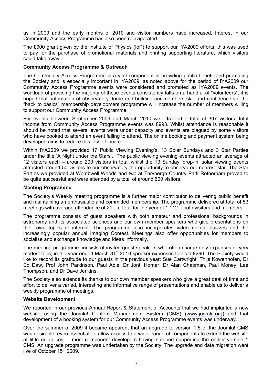us in 2009 and the early months of 2010 and visitor numbers have increased. Interest in our Community Access Programme has also been reinvigorated.

The Ç900 grant given by the Institute of Physics (IoP) to support our IYA2009 efforts; this was used to pay for the purchase of promotional materials and printing supporting literature, which visitors could take away.

#### **Community Access Programme & Outreach**

The Community Access Programme is a vital component in providing public benefit and promoting the Society and is especially important in IYA2009; as noted above for the period of IYA2009 our Community Access Programme events were considered and promoted as IYA2009 events. The workload of providing the majority of these events consistently falls on a handful of "volunteers"; it is hoped that automation of observatory dome and building our members skill and confidence via the "back to basics" membership development programme will increase the number of members willing to support our Community Access Programme.

For events between September 2009 and March 2010 we attracted a total of 397 visitors; total income from Community Access Programme events was Ç993. Whilst attendance is reasonable it should be noted that several events were under capacity and events are plagued by some visitors who have booked to attend an event failing to attend. The online booking and payment system being developed aims to reduce this loss of income.

Within IYA2009 we provided 17 Public Viewing Evening's, 13 Solar Sundays and 3 Star Parties under the title 'A Night under the Stars'. The public viewing evening events attracted an average of 12 visitors each – around 200 visitors in total whilst the 13 Sunday 'drop-in' solar viewing events attracted around 50 visitors to our observatory the opportunity to observe our nearest star. The Star Parties we provided at Wombwell Woods and two at Thrybergh Country Park Rotherham proved to be quite successful and were attended by a total of around 600 visitors.

#### **Meeting Programme**

The Society's Weekly meeting programme is a further major contributor to delivering public benefit and maintaining an enthusiastic and committed membership. The programme delivered at total of 53 meetings with average attendance of 21 – a total for the year of 1,112 – both visitors and members.

The programme consists of guest speakers with both amateur and professional backgrounds in astronomy and its associated sciences and our own member speakers who give presentations on their own topics of interest. The programme also incorporates video nights, quizzes and the increasingly popular annual Imaging Contest. Meetings also offer opportunities for members to socialise and exchange knowledge and ideas informally.

The meeting programme consists of invited guest speakers who often charge only expenses or very modest fees; in the year ended March 31<sup>st</sup> 2010 speaker expenses totalled £290. The Society would like to record its gratitude to our guests in the previous year: Sue Cartwright, Thijs Kowenhofen, Dr Ed Daw, Prof John Parkinson, Paul Able, Dr Jonti Horner, Dr Alan Chapman, Paul Money, Lee Thompson, and Dr Dave Jenkins.

The Society also extends its thanks to our own member speakers who give a great deal of time and effort to deliver a varied, interesting and informative range of presentations and enable us to deliver a weekly programme of meetings.

#### **Website Development**

We reported in our previous Annual Report & Statement of Accounts that we had implanted a new website using the Joomla! Content Management System (CMS) [\(www.joomla.org](www.joomla.org)) and that development of a booking system for our Community Access Programme events was underway.

Over the summer of 2009 it became apparent that an upgrade to version 1.5 of the Joomla! CMS was desirable, even essential, to allow access to a wider range of components to extend the website at little or no cost – most component developers having stopped supporting the earlier version 1 CMS. An upgrade programme was undertaken by the Society. The upgrade and data migration went live of October 15<sup>th</sup> 2009.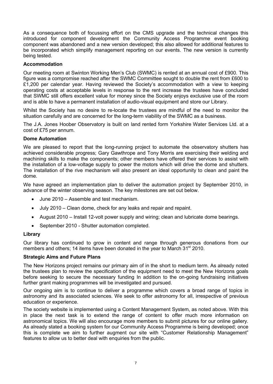As a consequence both of focussing effort on the CMS upgrade and the technical changes this introduced for component development the Community Access Programme event booking component was abandoned and a new version developed; this also allowed for additional features to be incorporated which simplify management reporting on our events. The new version is currently being tested.

#### **Accommodation**

Our meeting room at Swinton Working Men's Club (SWMC) is rented at an annual cost of Ç900. This figure was a compromise reached after the SWMC Committee sought to double the rent from Ç600 to £1,200 per calendar year. Having reviewed the Society's accommodation with a view to keeping operating costs at acceptable levels in response to the rent increase the trustees have concluded that SWMC still offers excellent value for money since the Society enjoys exclusive use of the room and is able to have a permanent installation of audio-visual equipment and store our Library.

Whilst the Society has no desire to re-locate the trustees are mindful of the need to monitor the situation carefully and are concerned for the long-term viability of the SWMC as a business.

The J.A. Jones Hoober Observatory is built on land rented form Yorkshire Water Services Ltd. at a cost of £75 per annum.

#### **Dome Automation**

We are pleased to report that the long-running project to automate the observatory shutters has achieved considerable progress; Gary Gawthrope and Tony Morris are exercising their welding and machining skills to make the components; other members have offered their services to assist with the installation of a low-voltage supply to power the motors which will drive the dome and shutters. The installation of the rive mechanism will also present an ideal opportunity to clean and paint the dome.

We have agreed an implementation plan to deliver the automation project by September 2010, in advance of the winter observing season. The key milestones are set out below.

- June 2010 Assemble and test mechanism.
- July 2010 Clean dome, check for any leaks and repair and repaint.
- August 2010 Install 12-volt power supply and wiring; clean and lubricate dome bearings.
- September 2010 Shutter automation completed.

#### **Library**

Our library has continued to grow in content and range through generous donations from our members and others; 14 items have been donated in the year to March  $31<sup>st</sup>$  2010.

#### **Strategic Aims and Future Plans**

The New Horizons project remains our primary aim of in the short to medium term. As already noted the trustees plan to review the specification of the equipment need to meet the New Horizons goals before seeking to secure the necessary funding In addition to the on-going fundraising initiatives further grant making programmes will be investigated and pursued.

Our ongoing aim is to continue to deliver a programme which covers a broad range of topics in astronomy and its associated sciences. We seek to offer astronomy for all, irrespective of previous education or experience.

The society website is implemented using a Content Management System, as noted above. With this in place the next task is to extend the range of content to offer much more information on astronomical topics. We will also encourage more members to submit pictures for our online gallery. As already stated a booking system for our Community Access Programme is being developed; once this is complete we aim to further augment our site with "Customer Relationship Management" features to allow us to better deal with enquiries from the public.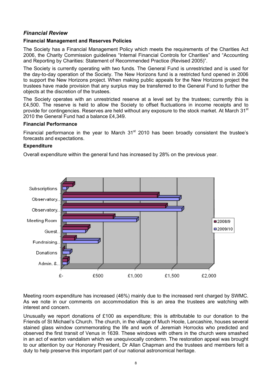## *Financial Review*

#### **Financial Management and Reserves Policies**

The Society has a Financial Management Policy which meets the requirements of the Charities Act 2006, the Charity Commission guidelines "Internal Financial Controls for Charities" and "Accounting and Reporting by Charities: Statement of Recommended Practice (Revised 2005)".

The Society is currently operating with two funds. The General Fund is unrestricted and is used for the day-to-day operation of the Society. The New Horizons fund is a restricted fund opened in 2006 to support the New Horizons project. When making public appeals for the New Horizons project the trustees have made provision that any surplus may be transferred to the General Fund to further the objects at the discretion of the trustees.

The Society operates with an unrestricted reserve at a level set by the trustees; currently this is £4,500. The reserve is held to allow the Society to offset fluctuations in income receipts and to provide for contingencies. Reserves are held without any exposure to the stock market. At March 31<sup>st</sup> 2010 the General Fund had a balance £4,349.

#### **Financial Performance**

Financial performance in the year to March  $31<sup>st</sup>$  2010 has been broadly consistent the trustee's forecasts and expectations.

#### **Expenditure**

Overall expenditure within the general fund has increased by 28% on the previous year.



Meeting room expenditure has increased (46%) mainly due to the increased rent charged by SWMC. As we note in our comments on accommodation this is an area the trustees are watching with interest and concern.

Unusually we report donations of Ç100 as expenditure; this is attributable to our donation to the Friends of St Michael's Church. The church, in the village of Much Hoole, Lancashire, houses several stained glass window commemorating the life and work of Jeremiah Horrocks who predicted and observed the first transit of Venus in 1639. These windows with others in the church were smashed in an act of wanton vandalism which we unequivocally condemn. The restoration appeal was brought to our attention by our Honorary President, Dr Allan Chapman and the trustees and members felt a duty to help preserve this important part of our national astronomical heritage.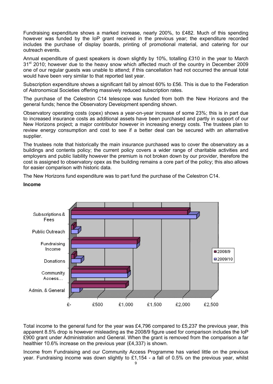Fundraising expenditure shows a marked increase, nearly 200%, to £482. Much of this spending however was funded by the IoP grant received in the previous year; the expenditure recorded includes the purchase of display boards, printing of promotional material, and catering for our outreach events.

Annual expenditure of guest speakers is down slightly by 10%, totalling Ç310 in the year to March 31<sup>st</sup> 2010; however due to the heavy snow which affected much of the country in December 2009 one of our regular guests was unable to attend; if this cancellation had not occurred the annual total would have been very similar to that reported last year.

Subscription expenditure shows a significant fall by almost 60% to £56. This is due to the Federation of Astronomical Societies offering massively reduced subscription rates.

The purchase of the Celestron C14 telescope was funded from both the New Horizons and the general funds; hence the Observatory Development spending shown.

Observatory operating costs (opex) shows a year-on-year increase of some 23%; this is in part due to increased insurance costs as additional assets have been purchased and partly in support of our New Horizons project; a major contributor however in increasing energy costs. The trustees plan to review energy consumption and cost to see if a better deal can be secured with an alternative supplier.

The trustees note that historically the main insurance purchased was to cover the observatory as a buildings and contents policy; the current policy covers a wider range of charitable activities and employers and public liability however the premium is not broken down by our provider, therefore the cost is assigned to observatory opex as the building remains a core part of the policy; this also allows for easier comparison with historic data.

The New Horizons fund expenditure was to part fund the purchase of the Celestron C14.

#### **Income**



Total income to the general fund for the year was £4,796 compared to £5,237 the previous year, this apparent 8.5% drop is however misleading as the 2008/9 figure used for comparison includes the IoP Ç900 grant under Administration and General. When the grant is removed from the comparison a far healthier 10.6% increase on the previous year (£4,337) is shown.

Income from Fundraising and our Community Access Programme has varied little on the previous year. Fundraising income was down slightly to £1,154 - a fall of 0.5% on the previous year, whilst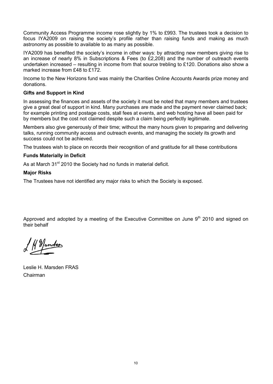Community Access Programme income rose slightly by 1% to £993. The trustees took a decision to focus IYA2009 on raising the society's profile rather than raising funds and making as much astronomy as possible to available to as many as possible.

IYA2009 has benefited the society's income in other ways: by attracting new members giving rise to an increase of nearly 8% in Subscriptions & Fees (to £2,208) and the number of outreach events undertaken increased – resulting in income from that source trebling to £120. Donations also show a marked increase from £48 to £172.

Income to the New Horizons fund was mainly the Charities Online Accounts Awards prize money and donations.

#### **Gifts and Support in Kind**

In assessing the finances and assets of the society it must be noted that many members and trustees give a great deal of support in kind. Many purchases are made and the payment never claimed back; for example printing and postage costs, stall fees at events, and web hosting have all been paid for by members but the cost not claimed despite such a claim being perfectly legitimate.

Members also give generously of their time; without the many hours given to preparing and delivering talks, running community access and outreach events, and managing the society its growth and success could not be achieved.

The trustees wish to place on records their recognition of and gratitude for all these contributions

#### **Funds Materially in Deficit**

As at March 31<sup>st</sup> 2010 the Society had no funds in material deficit.

#### **Major Risks**

The Trustees have not identified any major risks to which the Society is exposed.

Approved and adopted by a meeting of the Executive Committee on June 9<sup>th</sup> 2010 and signed on their behalf

H Mander

Leslie H. Marsden FRAS Chairman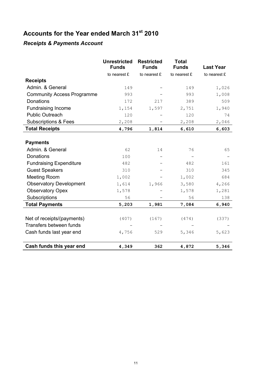# **Accounts for the Year ended March 31st 2010**

# *Receipts & Payments Account*

|                                   | <b>Unrestricted</b><br><b>Funds</b> | <b>Restricted</b><br><b>Funds</b> | <b>Total</b><br><b>Funds</b> | <b>Last Year</b> |
|-----------------------------------|-------------------------------------|-----------------------------------|------------------------------|------------------|
|                                   | to nearest £                        | to nearest £                      | to nearest £                 | to nearest £     |
| <b>Receipts</b>                   |                                     |                                   |                              |                  |
| Admin. & General                  | 149                                 |                                   | 149                          | 1,026            |
| <b>Community Access Programme</b> | 993                                 |                                   | 993                          | 1,008            |
| <b>Donations</b>                  | 172                                 | 217                               | 389                          | 509              |
| <b>Fundraising Income</b>         | 1,154                               | 1,597                             | 2,751                        | 1,940            |
| <b>Public Outreach</b>            | 120                                 |                                   | 120                          | 74               |
| <b>Subscriptions &amp; Fees</b>   | 2,208                               |                                   | 2,208                        | 2,046            |
| <b>Total Receipts</b>             | 4,796                               | 1,814                             | 6,610                        | 6,603            |
|                                   |                                     |                                   |                              |                  |
| <b>Payments</b>                   |                                     |                                   |                              |                  |
| Admin. & General                  | 62                                  | 14                                | 76                           | 65               |
| Donations                         | 100                                 |                                   |                              |                  |
| <b>Fundraising Expenditure</b>    | 482                                 |                                   | 482                          | 161              |
| <b>Guest Speakers</b>             | 310                                 |                                   | 310                          | 345              |
| <b>Meeting Room</b>               | 1,002                               |                                   | 1,002                        | 684              |
| <b>Observatory Development</b>    | 1,614                               | 1,966                             | 3,580                        | 4,266            |
| <b>Observatory Opex</b>           | 1,578                               |                                   | 1,578                        | 1,281            |
| Subscriptions                     | 56                                  |                                   | 56                           | 138              |
| <b>Total Payments</b>             | 5,203                               | 1,981                             | 7,084                        | 6,940            |
|                                   |                                     |                                   |                              |                  |
| Net of receipts/(payments)        | (407)                               | (167)                             | (474)                        | (337)            |
| Transfers between funds           |                                     |                                   |                              |                  |
| Cash funds last year end          | 4,756                               | 529                               | 5,346                        | 5,623            |
| Cash funds this year end          | 4,349                               | 362                               | 4,872                        | 5,346            |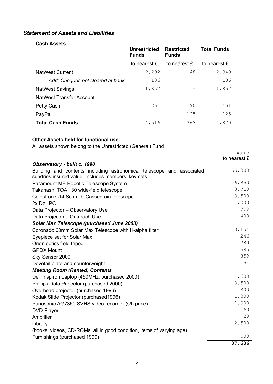# *Statement of Assets and Liabilities*

# **Cash Assets**

|                                  | <b>Unrestricted</b><br><b>Funds</b> | <b>Restricted</b><br><b>Funds</b> | <b>Total Funds</b> |
|----------------------------------|-------------------------------------|-----------------------------------|--------------------|
|                                  | to nearest £                        | to nearest £                      | to nearest £       |
| <b>NatWest Current</b>           | 2,292                               | 48                                | 2,340              |
| Add: Cheques not cleared at bank | 106                                 |                                   | 106                |
| <b>NatWest Savings</b>           | 1,857                               |                                   | 1,857              |
| <b>NatWest Transfer Account</b>  |                                     |                                   |                    |
| Petty Cash                       | 261                                 | 190                               | 451                |
| PayPal                           |                                     | 125                               | 125                |
| <b>Total Cash Funds</b>          | 4,516                               | 363                               | 4,879              |

# **Other Assets held for functional use**

All assets shown belong to the Unrestricted (General) Fund

|                                                                                                                              | Value<br>to nearest £ |
|------------------------------------------------------------------------------------------------------------------------------|-----------------------|
| Observatory - built c. 1990                                                                                                  |                       |
| Building and contents including astronomical telescope and associated<br>sundries insured value. Includes members' key sets. | 55,300                |
| Paramount ME Robotic Telescope System                                                                                        | 6,850                 |
| Takahashi TOA 130 wide-field telescope                                                                                       | 3,710                 |
| Celestron C14 Schmidt-Cassegrain telescope                                                                                   | 3,500                 |
| 2x Dell PC                                                                                                                   | 1,000                 |
| Data Projector - Observatory Use                                                                                             | 799                   |
| Data Projector - Outreach Use                                                                                                | 400                   |
| <b>Solar Max Telescope (purchased June 2003)</b>                                                                             |                       |
| Coronado 60mm Solar Max Telescope with H-alpha filter                                                                        | 3,154                 |
| Eyepiece set for Solar Max                                                                                                   | 246                   |
| Orion optics field tripod                                                                                                    | 289                   |
| <b>GPDX Mount</b>                                                                                                            | 695                   |
| Sky Sensor 2000                                                                                                              | 859                   |
| Dovetail plate and counterweight                                                                                             | 54                    |
| <b>Meeting Room (Rented) Contents</b>                                                                                        |                       |
| Dell Inspiron Laptop (450MHz, purchased 2000)                                                                                | 1,600                 |
| Phillips Data Projector (purchased 2000)                                                                                     | 3,500                 |
| Overhead projector (purchased 1996)                                                                                          | 300                   |
| Kodak Slide Projector (purchased1996)                                                                                        | 1,300                 |
| Panasonic AG7350 SVHS video recorder (s/h price)                                                                             | 1,000                 |
| <b>DVD Player</b>                                                                                                            | 60                    |
| Amplifier                                                                                                                    | 20                    |
| Library                                                                                                                      | 2,500                 |
| (books, videos, CD-ROMs; all in good condition, items of varying age)                                                        |                       |
| Furnishings (purchased 1999)                                                                                                 | 500                   |
|                                                                                                                              | 87,636                |